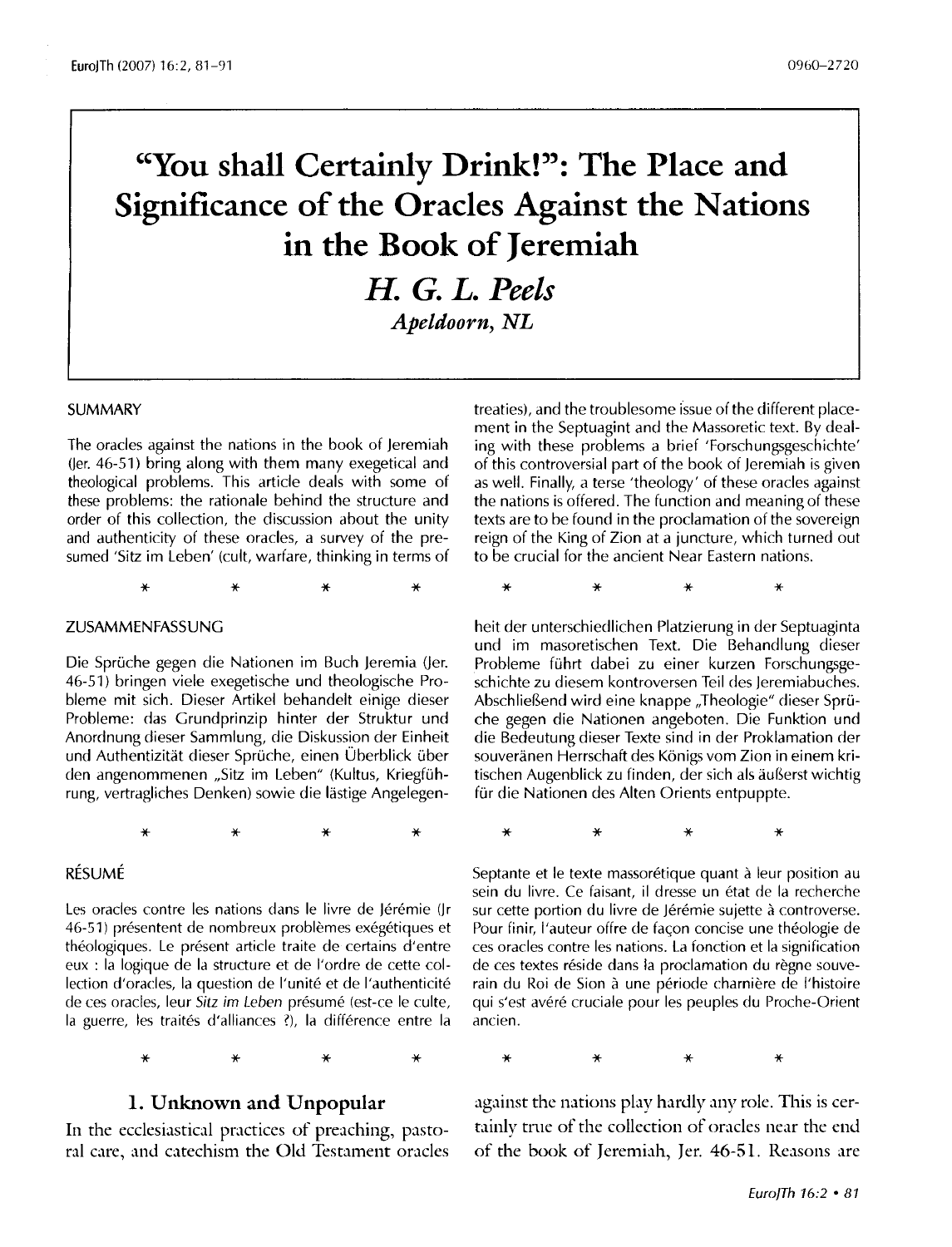# **"You shall Certainly Drink!": The Place and Significance of the Oracles Against the Nations in the Book of Jeremiah**

**H.** *G. L. Peels Apeldoorn, NL* 

#### SUMMARY

The oracles against the nations in the book of Jeremiah ()er. 46-51) bring along with them many exegetical and theological problems. This article deals with some of these problems: the rationale behind the structure and order of this collection, the discussion about the unity and authenticity of these oracles, a survey of the presumed 'Sitz im Leben' (cult, warfare, thinking in terms of

\* \* \* \*

#### ZUSAMMENFASSUNG

Die Sprüche gegen die Nationen im Buch Jeremia (Jer. 46-51) bringen viele exegetische und theologische Probleme mit sich. Dieser Artikel behandelt einige dieser Probleme: das Grundprinzip hinter der Struktur und Anordnung dieser Sammlung, die Diskussion der Einheit und Authentizität dieser Sprüche, einen Überblick über den angenommenen "Sitz im Leben" (Kultus, Kriegführung, vertragliches Denken) sowie die lastige Angelegen-

\* \* \* \*

RESUME

Les oracles contre les nations dans le livre de Jérémie (Jr 46-51) présentent de nombreux problèmes exégétiques et théologiques. Le présent article traite de certains d'entre eux : la logique de la structure et de l'ordre de cette collection d'oracles, la question de l'unité et de l'authenticité de ces oracles, leur Sitz im Leben présumé (est-ce le culte, la guerre, les traités d'alliances ?), la différence entre la

**1. Unknown and Unpopular** 

\* \* \* \*

In the ecclesiastical practices of preaching, pastoral care, and catechism the Old Testament oracles treaties), and the troublesome issue of the different placement in the Septuagint and the Massoretic text. By dealing with these problems a brief 'Forschungsgeschichte' of this controversial part of the book of Jeremiah is given as well. Finally, a terse 'theology' of these oracles against the nations is offered. The function and meaning of these texts are to be found in the proclamation of the sovereign reign of the King of Zion at a juncture, which turned out to be crucial for the ancient Near Eastern nations.

\* \* \* \*

heit der unterschiedlichen Platzierung in der Septuaginta und im masoretischen Text. Die Behandlung dieser Probleme führt dabei zu einer kurzen Forschungsgeschichte zu diesem kontroversen Teil des Jeremiabuches. Abschließend wird eine knappe "Theologie" dieser Sprüche gegen die Nationen angeboten. Die Funktion und die Bedeutung dieser Texte sind in der Proklamation der souveränen Herrschaft des Königs vom Zion in einem kritischen Augenblick zu finden, der sich als äußerst wichtig für die Nationen des Alten Orients entpuppte.

\* \* \* \*

Septante et le texte massorétique quant à leur position au sein du livre. Ce faisant, il dresse un état de la recherche sur cette portion du livre de Jérémie sujette à controverse. Pour finir, l'auteur offre de façon concise une théologie de ces oracles contre les nations. La fonction et la signification de ces textes réside dans la proclamation du règne souverain du Roi de Sion à une période charnière de l'histoire qui s'est avéré cruciale pour les peuples du Proche-Orient ancien.

\* \* \* \*

against the nations play hardly any role. This is certainly true of the collection of oracles near the end of the book of Jeremiah, Jer. 46-51. Reasons are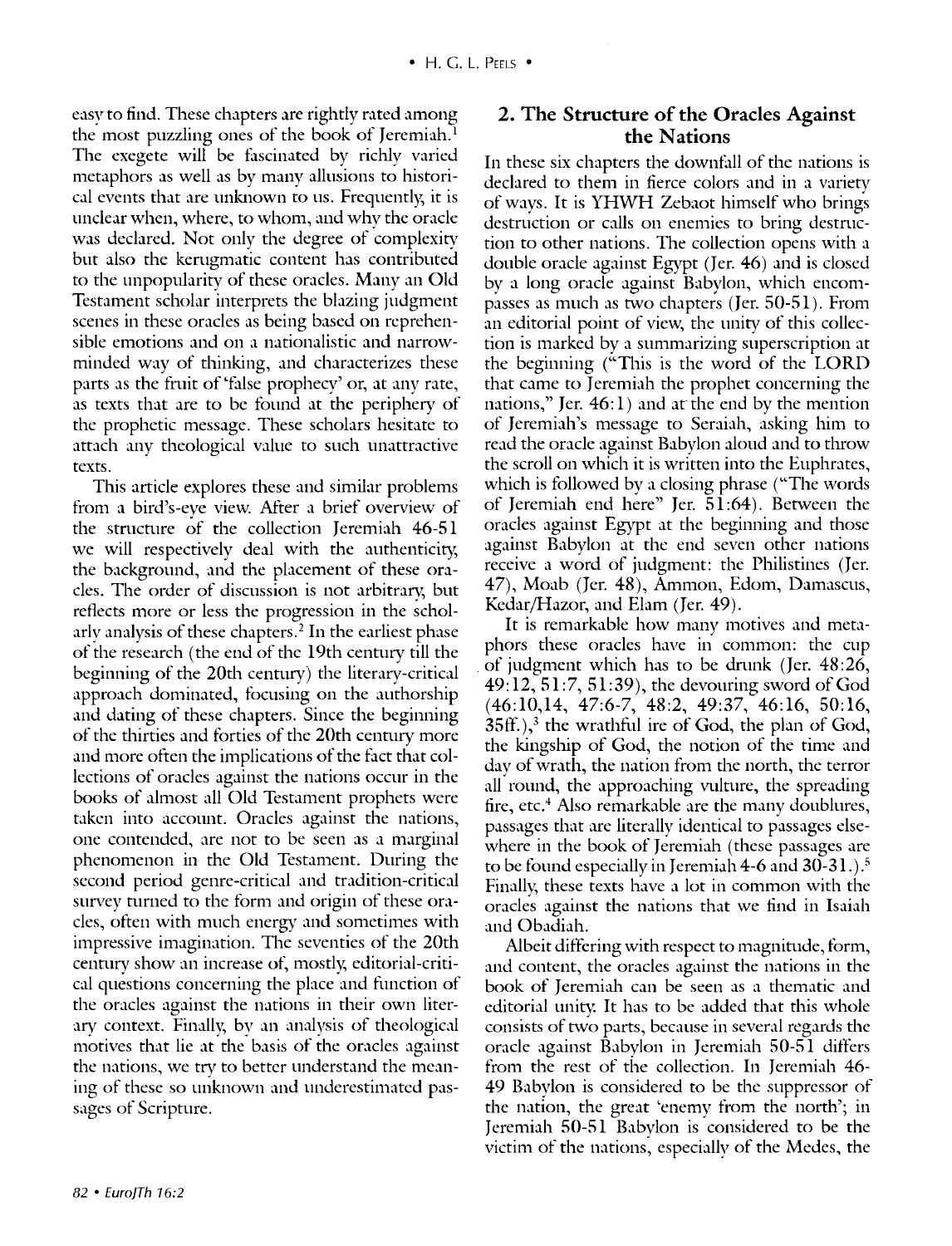easy to find. These chapters are rightly rated among the most puzzling ones of the book of Jeremiah.<sup>1</sup> The exegete will be fascinated by richly varied metaphors as well as by many allusions to historical events that are unknown to us. Frequently, it is unclear when, where, to whom, and whv the oracle was declared. Not only the degree of complexity but also the kerugmatic content has contributed to the unpopularity of these oracles. Many an Old Testament scholar interprets the blazing judgment scenes in these oracles as being based on reprehensible emotions and on a nationalistic and narrowminded way of thinking, and characterizes these parts as the fruit of 'false prophecy' or, at any rate, as texts that are to be found at the periphery of the prophetic message. These scholars hesitate to attach any theological value to such unattractive texts.

This article explores these and similar problems from a bird's-eye view. After a brief overview of the structure of the collection Jeremiah 46-51 we will respectively deal with the authenticity, the background, and the placement of these oracles. The order of discussion is not arbitrary, but reflects more or less the progression in the scholarly analysis of these chapters. 2 In the earliest phase of the research (the end of the **l** 9th century till the beginning of the 20th century) the literary-critical approach dominated, focusing on the authorship and dating of these chapters. Since the beginning of the thirties and forties of the 20th century more and more often the implications of the fact that collections of oracles against the nations occur in the books of almost all Old Testament prophets were taken into account. Oracles against the nations, one contended, are not to be seen as a marginal phenomenon in the Old Testament. During the second period genre-critical and tradition-critical survey turned to the form and origin of these oracles, often with much energy and sometimes with impressive imagination. The seventies of the 20th century show an increase of, mostly, editorial-critical questions concerning the place and function of the oracles against the nations in their own literary context. Finally, by an analysis of theological motives that lie at the basis of the oracles against the nations, we try to better understand the meaning of these so unknown and underestimated passages of Scripture.

#### **2. The Structure of the Oracles Against the Nations**

In these six chapters the downfall of the nations is declared to them in fierce colors and in a variety of ways. It is YHWH Zebaot himself who brings destruction or calls on enemies to bring destruction to other nations. The collection opens with a double oracle against Egypt (Jer. 46) and is closed by a long oracle against Babylon, which encompasses as much as two chapters (Jer. 50-51). From an editorial point of view, the unity of this collection is marked by a summarizing superscription at the beginning ("This is the word of the LORD that came to Jeremiah the prophet concerning the nations," Jer.  $46:1$ ) and at the end by the mention of Jeremiah's message to Seraiah, asking him to read the oracle against Babylon aloud and to throw the scroll on which it is written into the Euphrates, which is followed by a closing phrase ("The words") of Jeremiah end here" Jer. 51:64). Between the oracles against Egypt at the beginning and those against Babylon at the end seven other nations receive a word of judgment: the Philistines (Jer. 47), Moab (Jer. 48), Ammon, Edom, Damascus, Kedar/Hazor, and Elam (Jer. 49).

It is remarkable how manv motives and metaphors these oracles have in common: the cup of judgment which has to be drunk (Jer. 48:26, 49:12, 51:7, 51:39), the devouring sword of God (46:10,14, 47:6-7, 48:2, 49:37, 46:16, 50:16,  $35$ ff.), $3$  the wrathful ire of God, the plan of God, the kingship of God, the notion of the time and dav of wrath, the nation from the north, the terror all round, the approaching vulture, the spreading fire, etc.<sup>4</sup> Also remarkable are the many doublures, passages that are literally identical to passages elsewhere in the book of Jeremiah (these passages are to be found especially in Jeremiah 4-6 and 30-31.).<sup>5</sup> Finally; these texts have a lot in common with the oracles against the nations that we find in Isaiah and Obadiah.

Albeit differing with respect to magnitude, form, and content, the oracles against the nations in the book of Jeremiah can be seen as a thematic and editorial unity. It has to be added that this whole consists of tWo parts, because in several regards the oracle against Babylon in Jeremiah 50-51 differs from the rest of the collection. In Jeremiah 46- 49 Babylon is considered to be the suppressor of the nation, the great 'enemy from the north'; in Jeremiah 50-51 Babvlon is considered to be the victim of the nations, especially of the Medes, the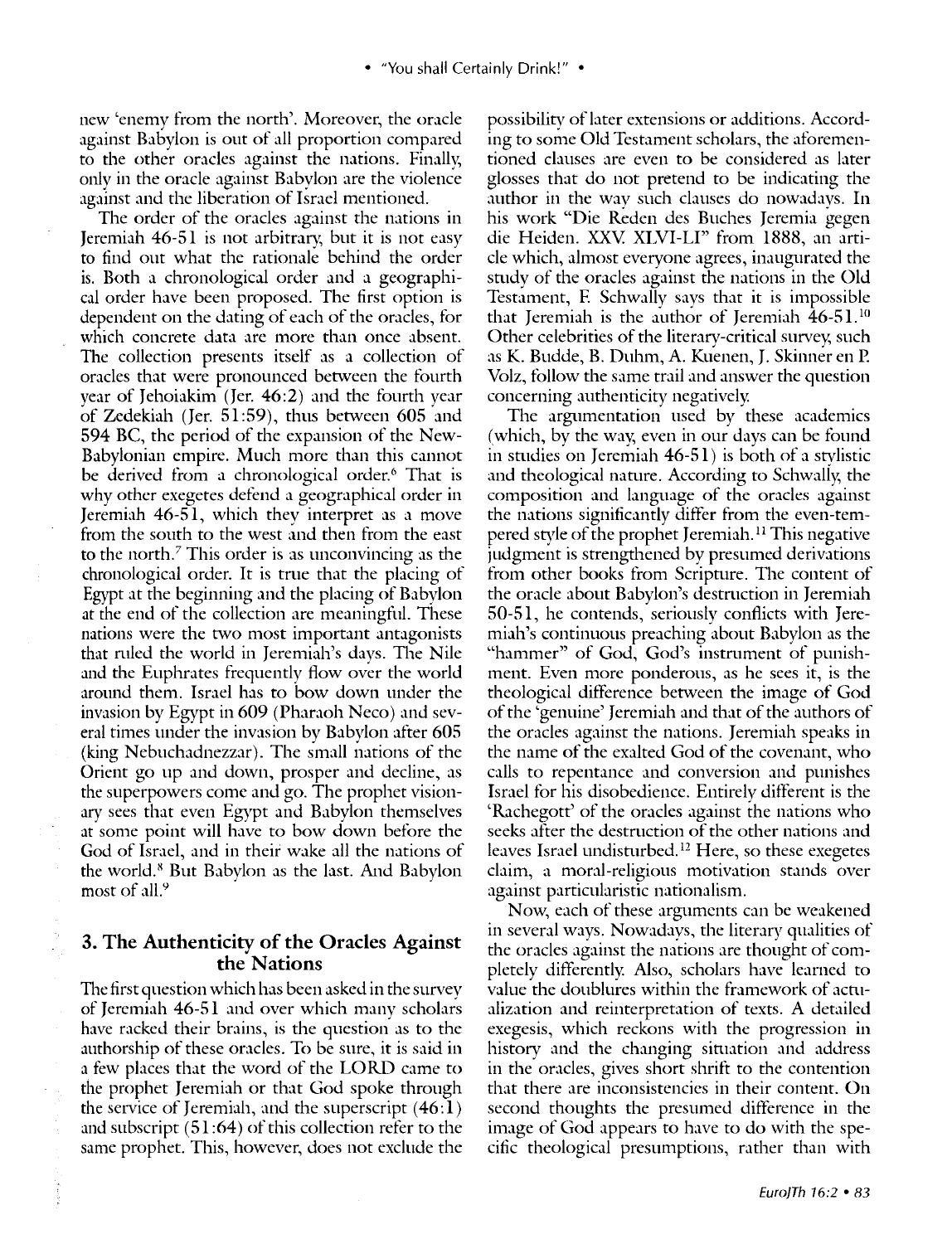new 'enemv from the north'. Moreover, the oracle against Babylon is out of all proportion compared to the other oracles against the nations. Finally, only in the oracle against Babylon are the violence against and the liberation of Israel mentioned.

The order of the oracles against the nations in Jeremiah 46-51 is not arbitrary, but it is not easy to find out what the rationale behind the order is. Both a chronological order and a geographical order have been proposed. The first option is dependent on the dating of each of the oracles, for which concrete data are more than once absent. The collection presents itself as a collection of oracles that were pronounced between the fourth year of Jehoiakim (Jer. 46:2) and the fourth year of Zedekiah (Jer. 51:59), thus between 605 and 594 BC, the period of the expansion of the New-Babylonian empire. Much more than this cannot be derived from a chronological order.<sup>6</sup> That is why other exegetes defend a geographical order in Jeremiah 46-51, which they interpret as a move from the south to the west and then from the east to the north.7 This order is as unconvincing as the chronological order. It is trne that the placing of Egypt at the beginning and the placing of Babylon at the end of the collection are meaningful. These nations were the two most important antagonists that rnled the world in Jeremiah's davs. The Nile and the Euphrates frequently flow over the world around them. Israel has to bow down under the invasion by Egypt in 609 (Pharaoh Neco) and several times under the invasion by Babylon after 605 (king Nebuchadnezzar). The small nations of the Orient go up and down, prosper and decline, as the superpowers come and go. The prophet visionary sees that even Egypt and Babylon themselves at some point will have to bow down before the God of Israel, and in their wake all the nations of the world. 8 But Babylon as the last. And Babylon most of all.<sup>9</sup>

#### **3. The Authenticity of the Oracles Against the Nations**

The first question which has been asked in the survey of Jeremiah 46-51 and over which manv scholars have racked their brains, is the question as to the authorship of these oracles. To be sure, it is said in a few places that the word of the LORD came to the prophet Jeremiah or that God spoke through the service of Jeremiah, and the superscript ( 46: **1)**  and subscript  $(51:64)$  of this collection refer to the same prophet. This, however, does not exclude the

possibility of later extensions or additions. According to some Old Testament scholars, the aforementioned clauses are even to be considered as later glosses that do not pretend to be indicating the author in the wav such clauses do nowadavs. In his work "Die Reden des Buches Jeremia gegen die Heiden. XXV. XLVI-LI" from 1888, an article which, almost everyone agrees, inaugurated the study of the oracles against the nations in the Old Testament, F. Schwally says that it is impossible that Jeremiah is the author of Jeremiah 46-51. <sup>10</sup> Other celebrities of the literary-critical survey, such as K. Budde, B. Duhm, A. Kuenen, J. Skinner en P. Volz, follow the same trail and answer the question concerning authenticity negatively.

The argumentation used by these academics (which, by the way, even in our days can be found in studies on Jeremiah 46-51) is both of a stvlistic and theological nature. According to Schwally, the composition and language of the oracles against the nations significantly differ from the even-tempered style of the prophet Jeremiah. 11 This negative judgment is strengthened by presumed derivations from other books from Scripture. The content of the oracle about Babvlon's destrnction in Jeremiah 50-51, he contends, seriously conflicts with Jeremiah's continuous preaching about Babylon as the "hammer" of God, God's instrument of punishment. Even more ponderous, as he sees it, is the theological difference between the image of God of the 'genuine' Jeremiah and that of the authors of the oracles against the nations. Jeremiah speaks in the name of the exalted God of the covenant, who calls to repentance and conversion and punishes Israel for his disobedience. Entirely different is the 'Rachegott' of the oracles against the nations who seeks after the destrnction of the other nations and leaves Israel undisturbed.<sup>12</sup> Here, so these exegetes claim, a moral-religious motivation stands over against particularistic nationalism.

Now, each of these arguments can be weakened in several ways. Nowadays, the literary qualities of the oracles against the nations are thought of completely differently. Also, scholars have learned to value the doublures within the framework of actualization and reinterpretation of texts. A detailed exegesis, which reckons with the progression in history and the changing situation and address in the oracles, gives short shrift to the contention that there are inconsistencies in their content. On second thoughts the presumed difference in the image of God appears to have to do with the specific theological presumptions, rather than with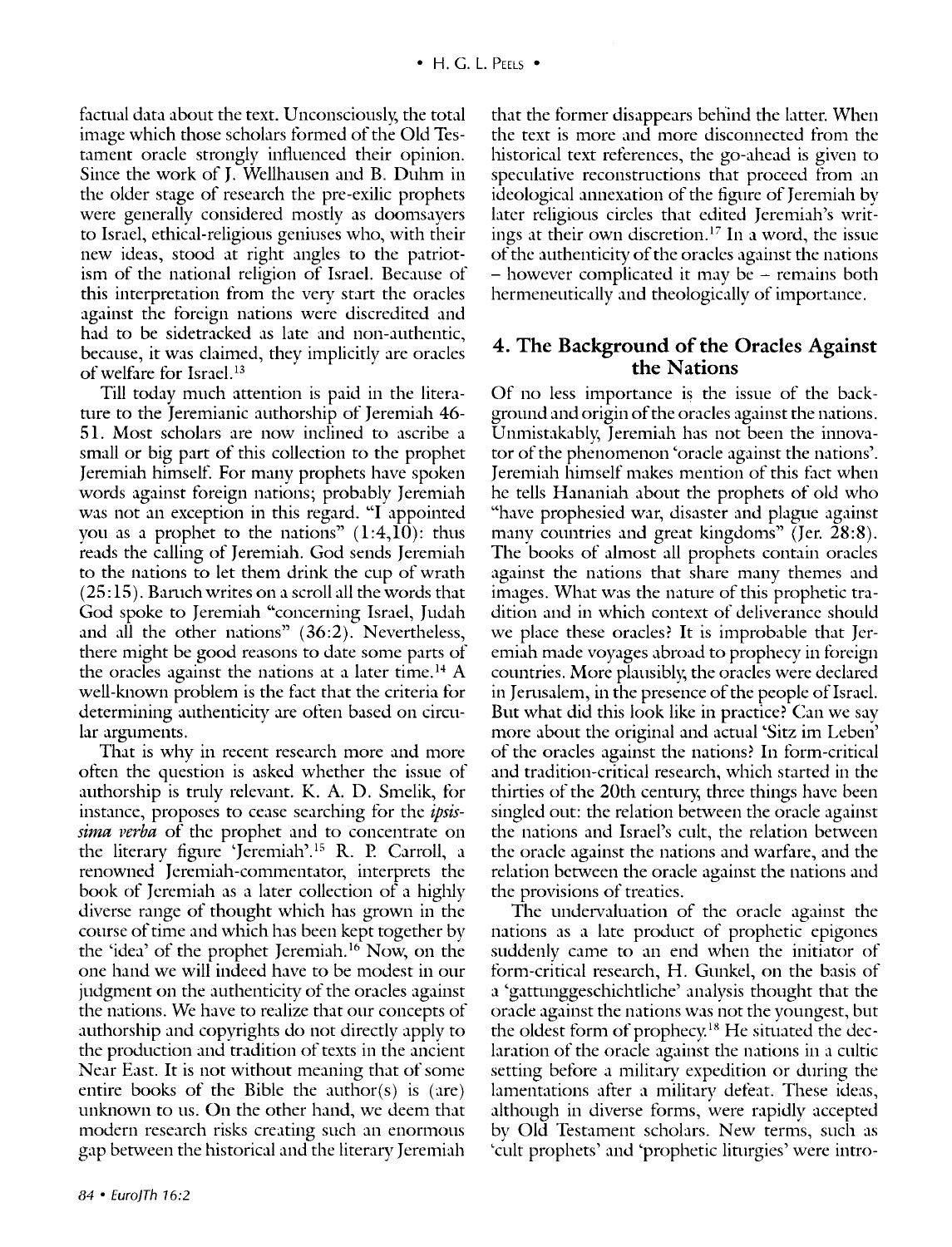factual data about the text. Unconsciously, the total image which those scholars formed of the Old Testament oracle strongly influenced their opinion. Since the work of J. Wellhausen and B. Duhm in the older stage of research the pre-exilic prophets were generally considered mostly as doomsayers to Israel, ethical-religious geniuses who, with their new ideas, stood at right angles to the patriotism of the national religion of Israel. Because of this interpretation from the very start the oracles against the foreign nations were discredited and had to be sidetracked as late and non-authentic, because, it was claimed, they implicitly are oracles of welfare for Israel. 13

Till today much attention is paid in the literature to the Jeremianic authorship of Jeremiah 46-51. Most scholars are now inclined to ascribe a small or big part of this collection to the prophet Jeremiah himself. For many prophets have spoken words against foreign nations; probably Jeremiah was not an exception in this regard. "I appointed you as a prophet to the nations"  $(1:4,10)$ : thus reads the calling of Jeremiah. God sends Jeremiah to the nations to let them drink the cup of wrath  $(25:15)$ . Baruch writes on a scroll all the words that God spoke to Jeremiah "concerning Israel, Judah and all the other nations" (36:2). Nevertheless, there might be good reasons to date some parts of the oracles against the nations at a later time.<sup>14</sup> A well-known problem is the fact that the criteria for determining authenticity are often based on circular arguments.

That is why in recent research more and more often the question is asked whether the issue of authorship is trnly relevant. K. A. D. Smelik, for instance, proposes to cease searching for the *ipsissima verba* of the prophet and to concentrate on the literary figure 'Jeremiah'. 15 R. P. Carroll, a renowned Jeremiah-commentator, interprets the book of Jeremiah as a later collection of a highly diverse range of thought which has grown in the course of time and which has been kept together by the 'idea' of the prophet Jeremiah. 16 Now, on the one hand we will indeed have to be modest in our judgment on the authenticity of the oracles against the nations. We have to realize that our concepts of authorship and copyrights do not directly apply to the production and tradition of texts in the ancient Near East. It is not without meaning that of some entire books of the Bible the author(s) is (are) unknown to us. On the other hand, we deem that modern research risks creating such an enormous gap between the historical and the literary Jeremiah

that the former disappears behind the latter. When the text is more and more disconnected from the historical text references, the go-ahead is given to speculative reconstrnctions that proceed from an ideological annexation of the figure of Jeremiah by later religious circles that edited Jeremiah's writings at their own discretion.<sup>17</sup> In a word, the issue of the authenticity of the oracles against the nations - however complicated it may be - remains both hermeneutically and theologically of importance.

#### **4. The Background of the Oracles Against the Nations**

Of no less importance is the issue of the background and origin of the oracles against the nations. Unmistakablv, Jeremiah has not been the innovator of the phenomenon 'oracle against the nations'. Jeremiah himself makes mention of this fact when he tells Hananiah about the prophets of old who "have prophesied war, disaster and plague against many countries and great kingdoms" (Jer. 28:8). The books of almost all prophets contain oracles against the nations that share many themes and images. What was the nature of this prophetic tradition and in which context of deliverance should we place these oracles? It is improbable that Jeremiah made voyages abroad to prophecy in foreign countries. More plausibly, the oracles were declared in Jerusalem, in the presence of the people of Israel. But what did this look like in practice? Can we say more about the original and actual 'Sitz im Leben' of the oracles against the nations? In form-critical and tradition-critical research, which started in the thirties of the 20th century, three things have been singled out: the relation between the oracle against the nations and Israel's cult, the relation between the oracle against the nations and warfare, and the relation between the oracle against the nations and the provisions of treaties.

The undervaluation of the oracle against the nations as a late product of prophetic epigones suddenly came to an end when the initiator of form-critical research, H. Gunkel, on the basis of a 'gattunggeschichtliche' analysis thought that the oracle against the nations was not the youngest, but the oldest form of prophecy.<sup>18</sup> He situated the declaration of the oracle against the nations in a cultic setting before a military expedition or during the lamentations after a military defeat. These ideas, although in diverse forms, were rapidly accepted by Old Testament scholars. New terms, such as 'cult prophets' and 'prophetic lin1rgies' were intro-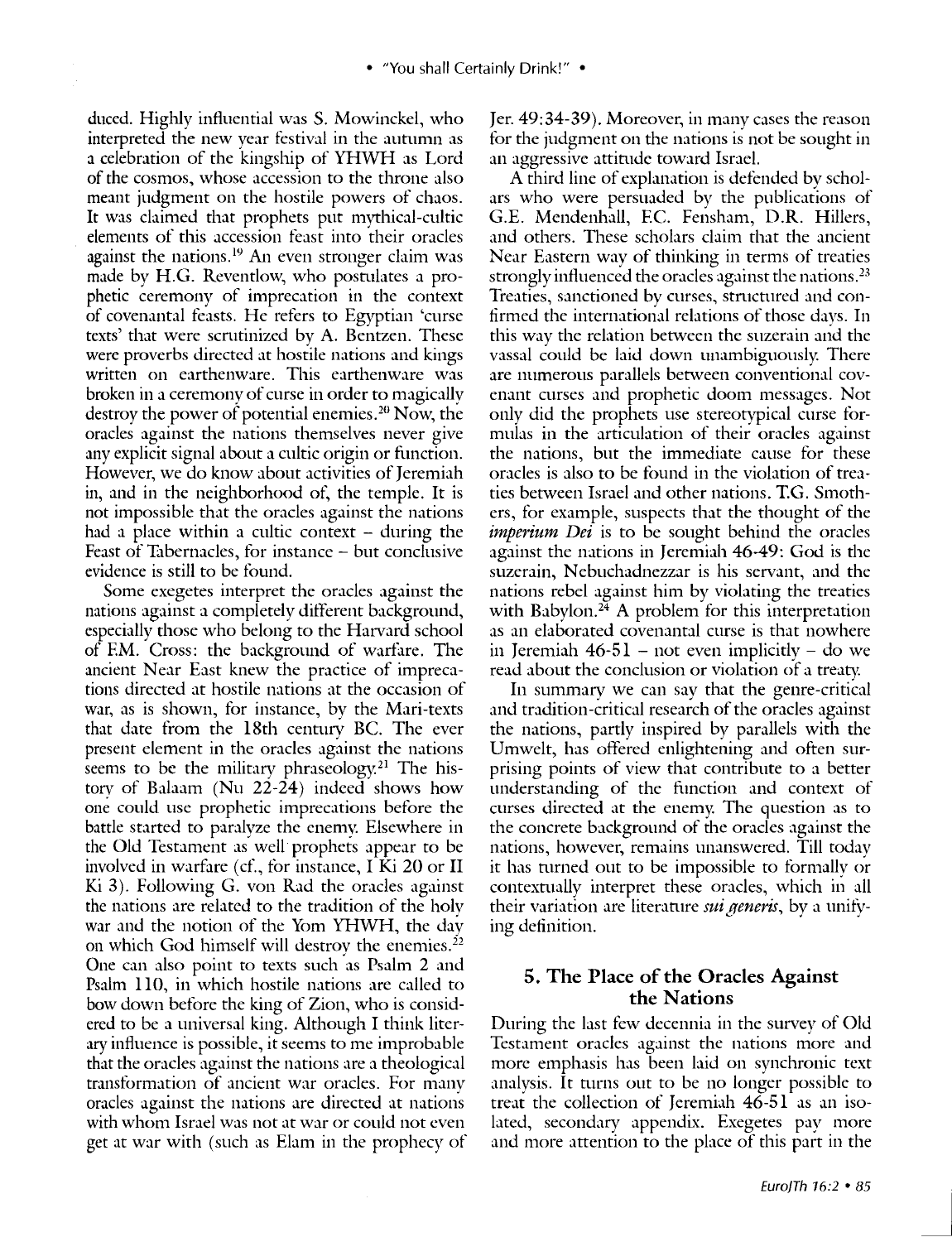duced. Highly influential was S. Mowinckel, who interpreted the new year festival in the autumn as a celebration of the kingship of YHWH as Lord of the cosmos, whose accession to the throne also meant judgment on the hostile powers of chaos. It was claimed that prophets put mythical-cultic elements of this accession feast into their oracles against the nations.<sup>19</sup> An even stronger claim was made by H.G. Reventlow, who postulates a prophetic ceremony of imprecation in the context of covenantal feasts. He refers to Egyptian 'curse texts' that were scrntinized by A. Bentzen. These were proverbs directed at hostile nations and kings written on earthenware. This earthenware was broken in a ceremony of curse in order to magically destroy the power of potential enemies. 20 Now, the oracles against the nations themselves never give any explicit signal about a cultic origin or function. However, we do know about activities of Jeremiah in, and in the neighborhood of, the temple. It is not impossible that the oracles against the nations had a place within a cultic context  $-$  during the Feast of Tabernacles, for instance - but conclusive evidence is still to be found.

Some exegetes interpret the oracles against the nations against a completely different background, especially those who belong to the Harvard school of EM. Cross: the background of warfare. The ancient Near East knew the practice of imprecations directed at hostile nations at the occasion of war, as is shown, for instance, by the Mari-texts that date from the 18th century BC. The ever present element in the oracles against the nations seems to be the military phraseology.<sup>21</sup> The history of Balaam (Nu 22-24) indeed shows how one could use prophetic imprecations before the battle started to paralyze the enemy. Elsewhere in the Old Testament as well prophets appear to be involved in warfare (cf., for instance, I Ki  $20$  or II Ki 3). Following G. von Rad the oracles against the nations are related to the tradition of the holy war and the notion of the Yom YHWH, the day on which God himself will destroy the enemies.2<sup>2</sup> One can also point to texts such as Psalm 2 and Psalm llO, in which hostile nations are called to bow down before the king of Zion, who is considered to be a universal king. Although I think literary influence is possible, it seems to me improbable that the oracles against the nations are a theological transformation of ancient war oracles. For manv oracles against the nations are directed at nations with whom Israel was not at war or could not even get at war with (such as Elam in the prophecy of Jer. 49:34-39). Moreover, in many cases the reason for the judgment on the nations is not be sought in an aggressive attinide toward Israel.

A third line of explanation is defended by scholars who were persuaded by the publications of G.E. Mendenhall, F.C. Fensham, D.R. Hillers, and others. These scholars claim that the ancient Near Eastern way of thinking in terms of treaties strongly influenced the oracles against the nations.<sup>23</sup> Treaties, sanctioned by curses, strnctured and confirmed the international relations of those davs. In this way the relation between the suzerain and the vassal could be laid down unambiguously. There are numerous parallels between conventional covenant curses and prophetic doom messages. Not only did the prophets use stereotypical curse formulas in the articulation of their oracles against the nations, but the immediate cause for these oracles is also to be found in the violation of treaties between Israel and other nations. T.G. Smothers, for example, suspects that the thought of the *imperium Dei* is to be sought behind the oracles against the nations in Jeremiah 46-49: God is the suzerain, Nebuchadnezzar is his servant, and the nations rebel against him by violating the treaties with Babylon.<sup>24</sup> A problem for this interpretation as an elaborated covenantal curse is that nowhere in Jeremiah  $46-51$  – not even implicitly – do we read about the conclusion or violation of a treaty.

In summary we can say that the genre-critical and tradition-critical research of the oracles against the nations, partly inspired by parallels with the Umwelt, has offered enlightening and often surprising points of view that contribute to a better understanding of the function and context of curses directed at the enemy. The question as to the concrete background of the oracles against the nations, however, remains unanswered. Till today it has turned out to be impossible to formally or contextually interpret these oracles, which in all their variation are literature *sui generis*, by a unifying definition.

#### **5. The Place of the Oracles Against the Nations**

During the last few decennia in the survey of Old Testament oracles against the nations more and more emphasis has been laid on synchronic text analysis. It turns out to be no longer possible to treat the collection of Jeremiah  $46-51$  as an isolated, secondary appendix. Exegetes pay more and more attention to the place of this part in the

<u>J</u>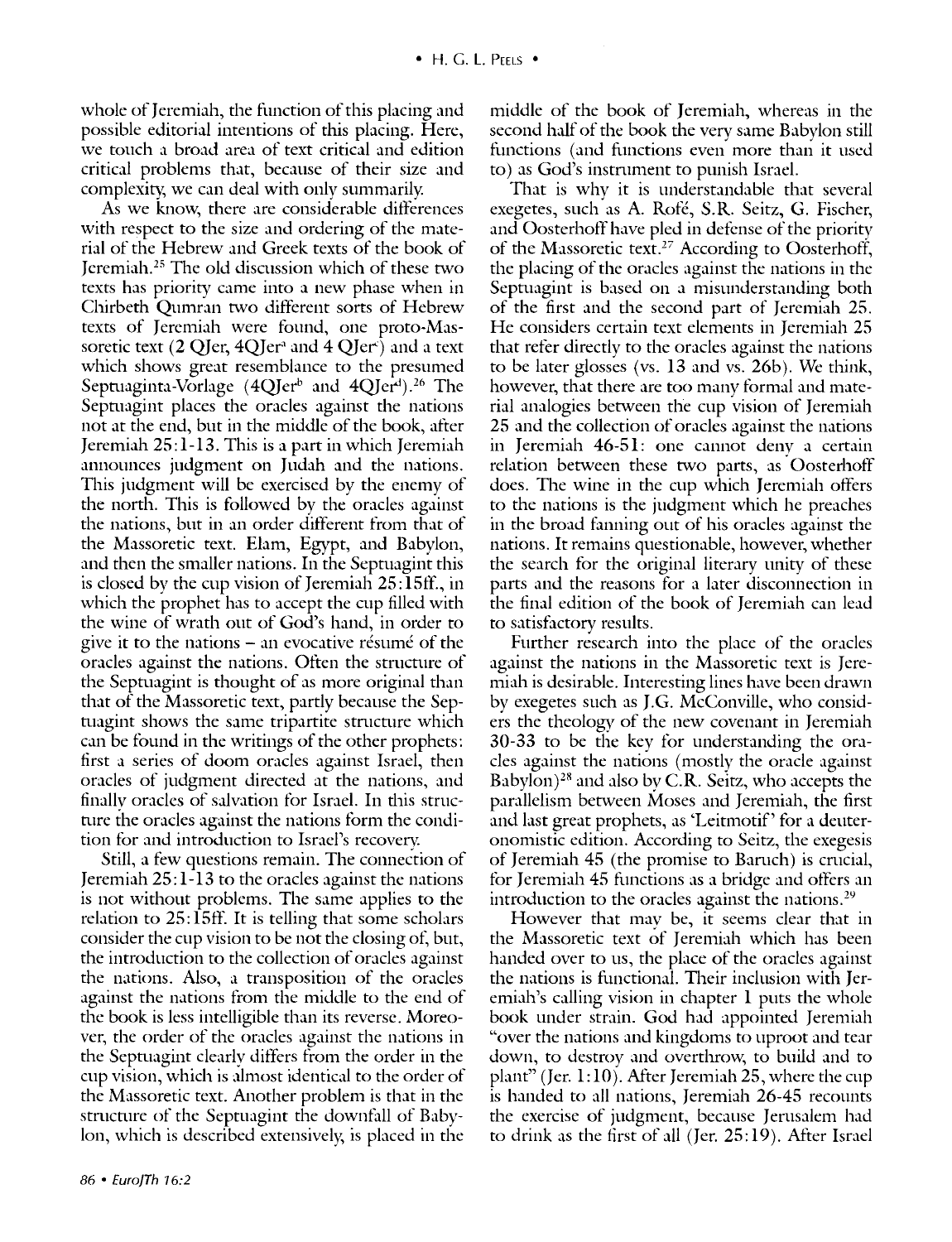whole of Jeremiah, the function of this placing and possible editorial intentions of this placing. Here, we touch a broad area of text critical and edition critical problems that, because of their size and complexity; we can deal with only summarily.

As we know, there are considerable differences with respect to the size and ordering of the material of the Hebrew and Greek texts of the book of Jeremiah. 25 The old discussion which of these two texts has priority came into a new phase when in Chirbeth Qumran two different sorts of Hebrew texts of Jeremiah were found, one proto-Massoretic text  $(2 \text{ QJer}, 4 \text{ QJer}^3$  and  $4 \text{ QJer}^5$  and a text which shows great resemblance to the presumed Septuaginta-Vorlage  $(4Q)$ er<sup>b</sup> and  $4Q$ Jer<sup>d</sup>).<sup>26</sup> The Septuagint places the oracles against the nations not at the end, but in the middle of the book, after Jeremiah 25:1-13. This is a part in which Jeremiah announces judgment on Judah and the nations. This judgment will be exercised by the enemy of the north. This is followed by the oracles against the nations, but in an order different from that of the Massoretic text. Elam, Egypt, and Babylon, and then the smaller nations. In the Septuagint this is closed by the cup vision of Jeremiah  $25:15$ ff., in which the prophet has to accept the cup filled with the wine of wrath out of God's hand, in order to give it to the nations  $-$  an evocative résumé of the oracles against the nations. Often the structure of the Septuagint is thought of as more original than that of the Massoretic text, partly because the Septuagint shows the same tripartite structure which can be found in the writings of the other prophets: first a series of doom oracles against Israel, then oracles of judgment directed at the nations, and finally oracles of salvation for Israel. In this structure the oracles against the nations form the condition for and introduction to Israel's recovery.

Still, a few questions remain. The connection of Jeremiah 25: 1-13 to the oracles against the nations is not without problems. The same applies to the relation to 25: 15ff. It is telling that some scholars consider the cup vision to be not the closing of, but, the introduction to the collection of oracles against the nations. Also, a transposition of the oracles against the nations from the middle to the end of the book is less intelligible than its reverse. Moreover, the order of the oracles against the nations in the Septuagint clearly differs from the order in the cup vision, which is almost identical to the order of the Massoretic text. Another problem is that in the structure of the Septuagint the downfall of Babylon, which is described extensively, is placed in the

middle of the book of Jeremiah, whereas in the second half of the book the very same Babylon still functions (and functions even more than it used to) as God's instrument to punish Israel.

That is whv it is understandable that several exegetes, such as A. Rofé, S.R. Seitz, G. Fischer, and Oosterhoff have pied in defcnse of the priority of the Massoretic text.27 According to Oosterhoff, the placing of the oracles against the nations in the Septuagint is based on a misunderstanding both of the first and the second part of Jeremiah 25. He considers certain text elements in Jeremiah 25 that refer directly to the oracles against the nations to be later glosses (vs. 13 and vs. 26b). We think, however, that there are too many formal and material analogies between the cup vision of Jeremiah 25 and the collection of oracles against the nations in Jeremiah 46-51: one cannot denv a certain relation between these two parts, as Oosterhoff does. The wine in the cup which Jeremiah offers to the nations is the judgment which he preaches in the broad fanning out of his oracles against the nations. It remains questionable, however, whether the search for the original literary unity of these parts and the reasons for a later disconnection in the final edition of the book of Jeremiah can lead to satisfactory results.

Further research into the place of the oracles against the nations in the Massoretic text is Jeremiah is desirable. Interesting lines have been drawn by exegetes such as J.G. McConville, who considers the theology of the new covenant in Jeremiah 30-33 to be the key for understanding the oracles against the nations (mostly the oracle against Babylon) $28$  and also by C.R. Seitz, who accepts the parallelism between Moses and Jeremiah, the first and last great prophets, as 'Leitmotif' for a deuteronomistic edition. According to Seitz, the exegesis of Jeremiah 45 (the promise to Baruch) is crucial, for Jeremiah 45 functions as a bridge and offers an introduction to the oracles against the nations.<sup>29</sup>

However that mav be, it seems clear that in the Massoretic text of Jeremiah which has been handed over to us, the place of the oracles against the nations is functional. Their inclusion with Jeremiah's calling vision in chapter l puts the whole book under strain. God had appointed Jeremiah "over the nations and kingdoms to uproot and tear down, to destroy and overthrow, to build and to plant" (Jer.  $1:10$ ). After Jeremiah 25, where the cup is handed to all nations, Jeremiah 26-45 recounts the exercise of judgment, because Jerusalem had to drink as the first of all (Jer.  $25:19$ ). After Israel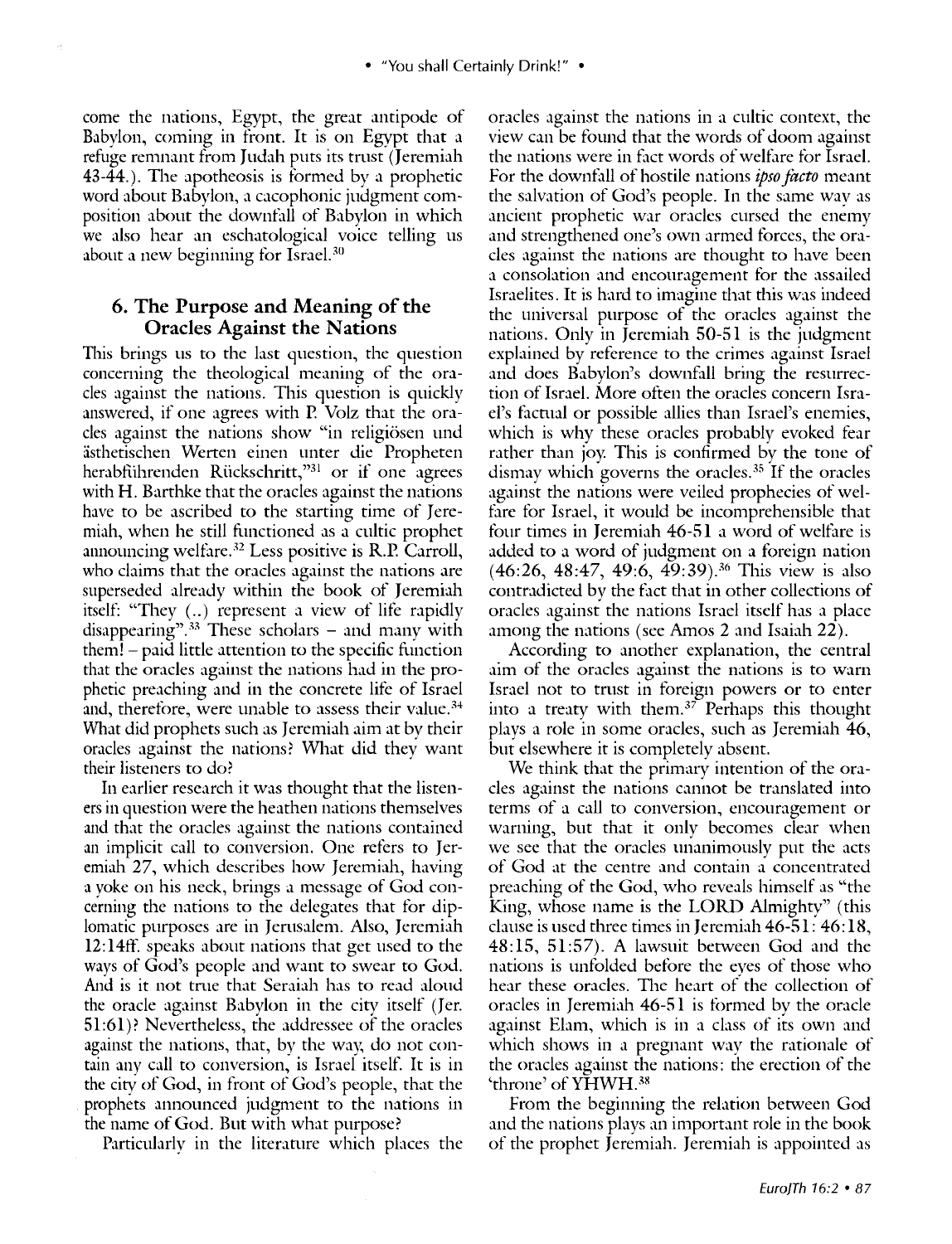come the nations, Egypt, the great antipode of Babylon, coming in front. It is on Egypt that a refuge remnant from Judah puts its trust (Jeremiah 43-44.). The apotheosis is formed by a prophetic word about Babylon, a cacophonic judgment composition about the downfall of Babylon in which we also hear an eschatological voice telling us about a new beginning for Israel.<sup>30</sup>

#### **6. The Purpose and Meaning of the Oracles Against the Nations**

This brings us to the last question, the question concerning the theological meaning of the oracles against the nations. This question is quickly answered, if one agrees with P. Volz that the oracles against the nations show "in religiosen und asthetischen Werten einen unter die Propheten herabführenden Rückschritt,"31 or if one agrees with H. Barthke that the oracles against the nations have to be ascribed to the starting time of Jeremiah, when he still functioned as a cultic prophet announcing welfare. $32$  Less positive is R.P. Carroll, who claims that the oracles against the nations are superseded already within the book of Jeremiah itself: "They (..) represent a view of life rapidly disappearing".<sup>33</sup> These scholars - and many with them! - paid little attention to the specific function that the oracles against the nations had in the prophetic preaching and in the concrete life of Israel and, therefore, were unable to assess their value. 34 What did prophets such as Jeremiah aim at by their oracles against the nations? What did they want their listeners to do?

In earlier research it was thought that the listeners in question were the heathen nations themselves and that the oracles against the nations contained an implicit call to conversion. One refers to Jeremiah 27, which describes how Jeremiah, having a yoke on his neck, brings a message of God concerning the nations to the delegates that for diplomatic purposes are in Jerusalem. Also, Jeremiah 12: l 4ff. speaks about nations that get used to the ways of God's people and want to swear to God. And is it not true that Seraiah has to read aloud the oracle against Babylon in the city itself (Jer. 51:61)? Nevertheless, the addressee of the oracles against the nations, that, by the way, do not contain any call to conversion, is Israel itself. It is in the cicy of God, in front of God's people, that the prophets announced judgment to the nations in the name of God. But with what purpose?

Particularly in the literature which places the

oracles against the nations in a cultic context, the view can be found that the words of doom against the nations were in fact words of welfare for Israel. For the downfall of hostile nations *ipso facto* meant the salvation of God's people. In the same way as ancient prophetic war oracles cursed the enemy and strengthened one's own armed forces, the oracles against the nations are thought to have been a consolation and encouragement for the assailed Israelites. It is hard to imagine that this was indeed the universal purpose of the oracles against the nations. Only in Jeremiah 50-51 is the judgment explained by reference to the crimes against Israel and does Babylon's downfall bring the resurrection of Israel. More often the oracles concern Israel's facnial or possible allies than Israel's enemies, which is why these oracles probably evoked fear rather than joy This is confirmed by the tone of dismay which governs the oracles.<sup>35</sup> If the oracles against the nations were veiled prophecies of welfare for Israel, it would be incomprehensible that four times in Jeremiah 46-51 a word of welfare is added to a word of judgment on a foreign nation (46:26, 48:47, 49:6, 49:39). 36 This view is also contradicted by the fact that in other collections of oracles against the nations Israel itself has a place among the nations (see Amos 2 and Isaiah 22).

According to another explanation, the central aim of the oracles against the nations is to warn Israel not to trust in foreign powers or to enter into a treaty with them. $37$  Perhaps this thought plays a role in some oracles, such as Jeremiah 46, but elsewhere it is completely absent.

We think that the primary intention of the oracles against the nations cannot be translated into terms of a call to conversion, encouragement or warning, but that it only becomes clear when we see that the oracles unanimously put the acts of God at the centre and contain a concentrated preaching of the God, who reveals himself as "the King, whose name is the LORD Almighty" (this clause is used three times in Jeremiah 46-51: 46: 18, 48:15, 51:57). A lawsuit between God and the nations is unfolded before the eves of those who hear these oracles. The heart of the collection of oracles in Jeremiah 46-51 is formed bv the oracle against Elam, which is in a class of its own and which shows in a pregnant way the rationale of the oracles against the nations: the erection of the 'throne' of YHWH. 38

From the beginning the relation between God and the nations plays an important role in the book of the prophet Jeremiah. Jeremiah is appointed as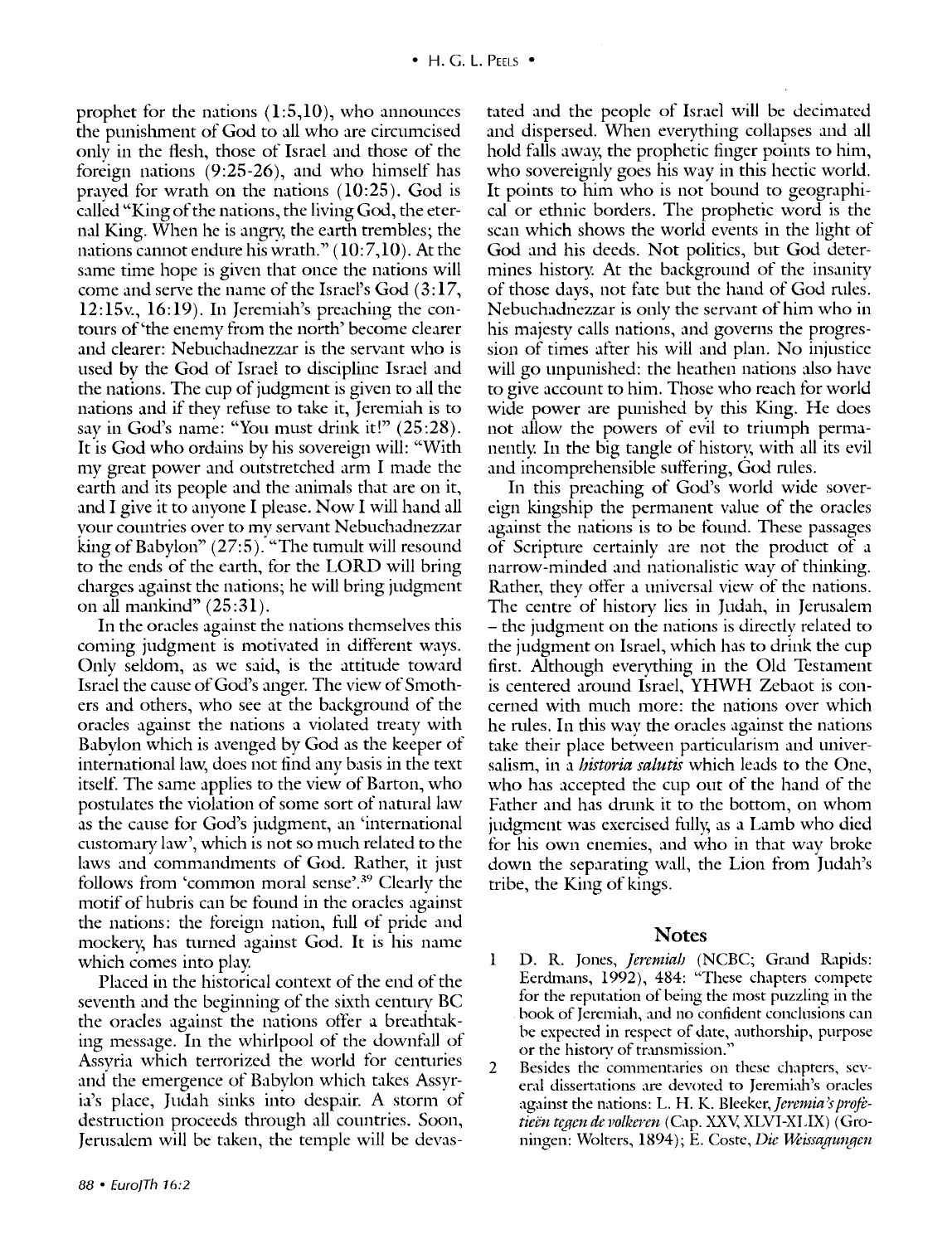prophet for the nations  $(1:5,10)$ , who announces the punishment of God to all who are circumcised only in the flesh, those of Israel and those of the foreign nations  $(9:25-26)$ , and who himself has prayed for wrath on the nations (10:25). God is called "King of the nations, the living God, the eternal King. When he is angry, the earth trembles; the nations cannot endure his wrath."  $(10:7,10)$ . At the same time hope is given that once the nations will come and serve the name of the Israel's God (3: 17, 12:15v., 16:19). In Jeremiah's preaching the contours of'the enemy from the north' become clearer and clearer: Nebuchadnezzar is the servant who is used by the God of Israel to discipline Israel and the nations. The cup of judgment is given to all the nations and if they refuse to take it, Jeremiah is to say in God's name: "You must drink it!" (25:28). It is God who ordains by his sovereign will: "With my great power and outstretched arm I made the earth and its people and the animals that are on it, and I give it to anyone I please. Now I will hand all your countries over to my servant Nebuchadnezzar king of Babylon"  $(27:5)$ . "The tumult will resound to the ends of the earth, for the LORD will bring charges against the nations; he will bring judgment on all mankind"  $(25:31)$ .

In the oracles against the nations themselves this coming judgment is motivated in different ways. Only seldom, as we said, is the attitude toward Israel the cause of God's anger. The view of Smothers and others, who see at the background of the oracles against the nations a violated treaty with Babylon which is avenged by God as the keeper of international law, does not find any basis in the text itself. The same applies to the view of Barton, who postulates the violation of some sort of natural law as the cause for God's judgment, an 'international customary law', which is not so much related to the laws and commandments of God. Rather, it just follows from 'common moral sense'. 39 Clearlv the motif of hubris can be found in the oracles against the nations: the foreign nation, full of pride and mockery, has turned against God. It is his name which comes into play.

Placed in the historical context of the end of the seventh and the beginning of the sixth century BC the oracles against the nations offer a breathtaking message. In the whirlpool of the downfall of Assyria which terrorized the world for centuries and' the emergence of Babylon which takes Assyria's place, Judah sinks into despair. A storm of destruction proceeds through all countries. Soon, Jernsalem will be taken, the temple will be devastated and the people of Israel will be decimated and dispersed. When everything collapses and all hold falls away; the prophetic finger points to him, who sovereignly goes his way in this hectic world. It points to him who is not bound to geographical or ethnic borders. The prophetic word is the scan which shows the world events in the light of God and his deeds. Not politics, but God determines history. At the background of the insanity of those days, not fate but the hand of God rnles. Nebuchadnezzar is only the servant of him who in his majesty calls nations, and governs the progression of times after his will and plan. No injustice will go unpunished: the heathen nations also have to give account to him. Those who reach for world wide power are punished by this King. He does not allow the powers of evil to triumph permanently. In the big tangle of history; with all its evil and incomprehensible suffering, God rules.

In this preaching of God's world wide sovereign kingship the permanent value of the oracles against the nations is to be found. These passages of Scripture certainly are not the product of a narrow-minded and nationalistic way of thinking. Rather, they offer a universal view of the nations. The centre of history lies in Judah, in Jerusalem – the judgment on the nations is directly related to the judgment on Israel, which has to drink the cup first. Although everything in the Old Testament is centered around Israel, YHWH Zebaot is concerned with much more: the nations over which he rules. In this way the oracles against the nations take their place between particularism and universalism, in a *historia saltttis* which leads to the One, who has accepted the cup out of the hand of the Father and has drunk it to the bottom, on whom judgment was exercised fully; as a Lamb who died for his own enemies, and who in that way broke down the separating wall, the Lion from Judah's tribe, the King of kings.

#### Notes

- 1 D. R. Jones, *Jeremiah* (NCBC; Grand Rapids: Eerdmans, 1992), 484: "These chapters compete for the reputation of being the most puzzling in the book of Jeremiah, and no confident conclusions can be expected in respect of date, authorship, purpose or the history of transmission."
- 2 Besides the commentaries on these chapters, several dissertations are devoted to Jeremiah's oracles against the mtions: L. H.K. *Bleekcr,]eremia'sprofi: tieën tegen de volkeren* (Cap. XXV, XLVI-XLIX) (Groningen: Wolters, 1894); E. Coste, Die Weissagungen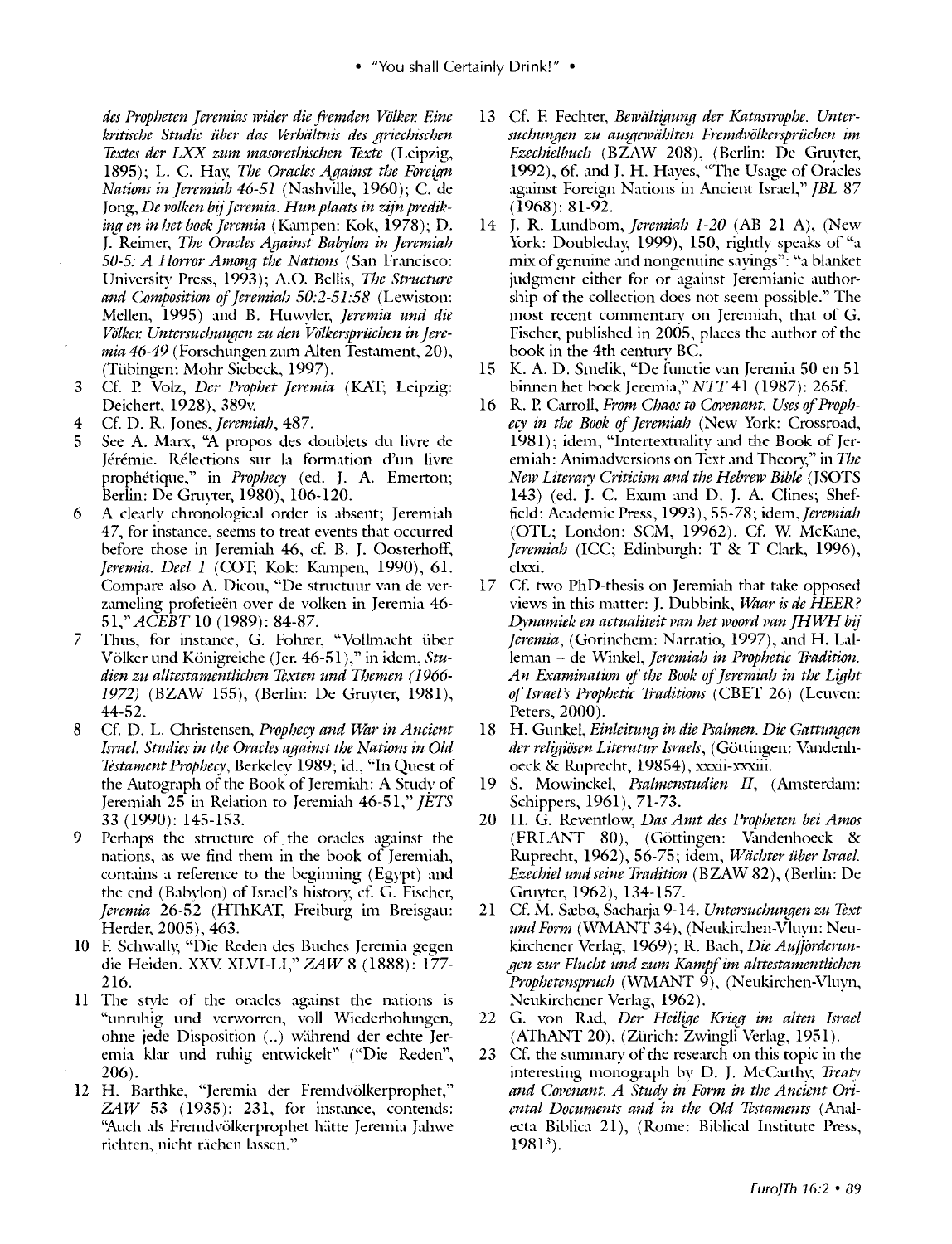• "You shall Certainly Drink!" •

*des Propbeten Jeremias wider die fremden VO!ker. Eine*  kritische Studie über das Verhältnis des griechischen *Textes der LXX zum masoretbischen Texte* (Leipzig, 1895); L. C. Hav, *The Oracles Against the Foreign Nations in Jeremiah 46-51* (Nashville, 1960); C. de Jong, *De volken bij Jeremia. Hun plaats in zijn prediking en in het boek Jeremia* (Kampen: Kok, 1978); D. J. Reimer, *The Oracles Against Babylon in Jeremiah 50-5: A Horror Among the Nations (San Francisco:* University Press, 1993); A. 0. Bellis, *The Structure*  and Composition of Jeremials 50:2-51:58 (Lewiston: Mellen, 1995) and B. Huwyler, *Jeremia und die*  Völker. Untersuchungen zu den Völkersprüchen in Jeremia 46-49 (Forschungen zum Alten Testament, 20), (Tübingen: Mohr Siebeck, 1997).

- 3 Cf. P. Volz, *Der Prophet Jeremia* (KAT; Leipzig: Deichert, 1928), 389v.
- 4 Cf. D.R. Jones, *Jeremiah,* 487.
- 5 See A. Marx, "A propos des doublets du livre de Jérémie. Rélections sur la formation d'un livre prophetique," in *Prophecy* (ed. J. A. Emerton; Berlin: De Gmyter, 1980), 106-120.
- 6 A clearly chronological order is absent; Jeremiah 47, for instance, seems to treat events that occurred before those in Jeremiah 46, cf. B. J. Oosterhoff, *Jeremia. Deel 1* (COT; Kok: Kampen, 1990), 61. Compare also A. Dicou, "De structuur van de verzameling profetieën over de volken in Jeremia 46-51," *ACEBT* 10 (1989): 84-87.
- 7 Thus, for instance, G. Fohrer, "Vollmacht über Volker und Konigreiche (Jer. 46-51 ),"in idem, *Studien zu alltestamentlicben Texten und Themen ( 1966- 1972)* (BZAW 155), (Berlin: De Gmyter, 1981), 44-52.
- 8 Cf. D. L. Christensen, Prophecy and War in Ancient *Israel. Studies in the Oracles aqainst the Nations in Old 1i:stament Propbecy,* Berkeley 1989; id., "In Quest of the Autograph of the Book of Jeremiah: A Study of Jeremiah 25 in Relation to Jeremiah 46-51," *JETS*  33 (1990): 145-153.
- 9 Perhaps the stmcture of. the oracles against the nations, as we find them in the book of Jeremiah, contains a reference to the beginning (Egypt) and the end (Babylon) of Israel's history, cf. G. Fischer, *Jeremia* 26-52 (HThKKf, Freiburg im Breisgau: Herder, 2005), 463.
- 10 E. Schwally, "Die Reden des Buches Jeremia gegen die Heiden. XXV XLVI-LI," *ZAW* 8 (1888): 177- 216.
- 11 The style of the oracles against the nations is "unmhig und venvorren, voll Wiederholungen, ohne jede Disposition (..) während der echte Jeremia klar und mhig entwickelt" ("Die Reden", 206).
- 12 H. Barthke, "Jeremia der Fremdvölkerprophet," *ZAW* 53 (1935): 231, for instance, contends: "Auch als Fremdvölkerprophet hätte Jeremia Jahwe richten, nicht rächen lassen."
- 13 Cf. F. Fechter, *Bewältigung der Katastrophe. Unter*suchungen zu ausgewählten Fremdvölkersprüchen im *Ezechielhucb* (BZAW 208), (Berlin: De Gmyter, 1992), 6f. and J. H. Hayes, "The Usage of Oracles against Foreign Nations in Ancient Israel," *JBL* 87 (1968): 81-92.
- 14 J. R. Lundbom, *Jeremiah 1-20* (AB 21 A), (New York: Doubleday, 1999), 150, rightly speaks of "a mix of genuine and nongenuine sayings": "a blanket judgment either for or against Jeremianic authorship of the collection docs not seem possible." The most recent commentary on Jeremiah, that of G. Fischer, published in 2005, places the author of the book in the 4th century BC.
- 15 K. A. D. Smelik, "De functie van Jeremia 50 en 51 binnen het boek Jeremia," NIT 41 ( 1987): 265f.
- 16 R. P. Carroll, *From Chaos to Covenant. Uses of Prophecy in the Book of Jeremiah* (New York: Crossroad, 1981); idem, "Intertextuality and the Book of Jeremiah: Animadversions on Text and Theory," in *The New Literary Criticism and the Hebrew Bihte* (JSOTS 143) (ed. J. C. Exum and D. J. A. Clines; Sheffield: Academic Press, 1993), 55-78; *idcm,jeremiab*  (OTL; London: SCM, 19962). Cf. W. McKane, *Jeremiah* (ICC; Edinburgh: T & T Clark, 1996), clxxi.
- 17 Cf. two PhD-thesis on Jeremiah that take opposed views in this matter: J. Dubbink, *Waar is de HEER? Dynamiek en actualiteit pan het woord pan JHWH bij" Jeremia*, (Gorinchem: Narratio, 1997), and H. Lalleman - de Winkel, *Jeremiah in Prophetic Tradition*. *An Examination of the Book of Jeremiah in the Light of Israel's Prophetic Traditions* (CBET 26) (Leuven: Peters, 2000).
- 18 H. Gunkel, *Einleitung in die Psalmen. Die Gattungen der religiiisen Literatur Israels,* (Gottingen: Vandenhoeck & Ruprecht, 19854), xxxii-xxxiii.
- 19 S. Mowinckel, *Psalmenstudien II*, (Amsterdam: Schippers, 1961), 71-73.
- 20 H. G. Reventlow, *Das Amt des Propheten bei Amos*  (FRLANT 80), (Göttingen: Vandenhoeck & Ruprecht, 1962), 56-75; idem, *Wachter iiher Israel. Ezechiel undseine Ii'adition* (BZAW 82), (Berlin: De Gmyter, 1962), 134-157.
- 21 Cf. M. Sæbø, Sacharja 9-14. Untersuchungen zu Text *und Form (WMANT 34), (Neukirchen-Vluyn: Neu*kirchener Verlag, 1969); R. Bach, *Die Aufforderungen zur Flucht und zum Kampfim alttestamentlicben Prophetenspruch* (WMANT 9), (Neukirchen-Vluyn, Ncukirchencr Verlag, 1962).
- 22 G. von Rad, *Der Heilige Krieg im alten Israel*  (AThANT 20), (Zürich: Zwingli Verlag, 1951).
- 23 Cf. the summary of the research on this topic in the interesting monograph by D. J. McCarthy, Treaty and Covenant. A Study in Form in the Ancient Ori*ental Documents and 'in the Old Testaments* (Analecta Biblica 21), (Rome: Biblical Institute Press, 19813).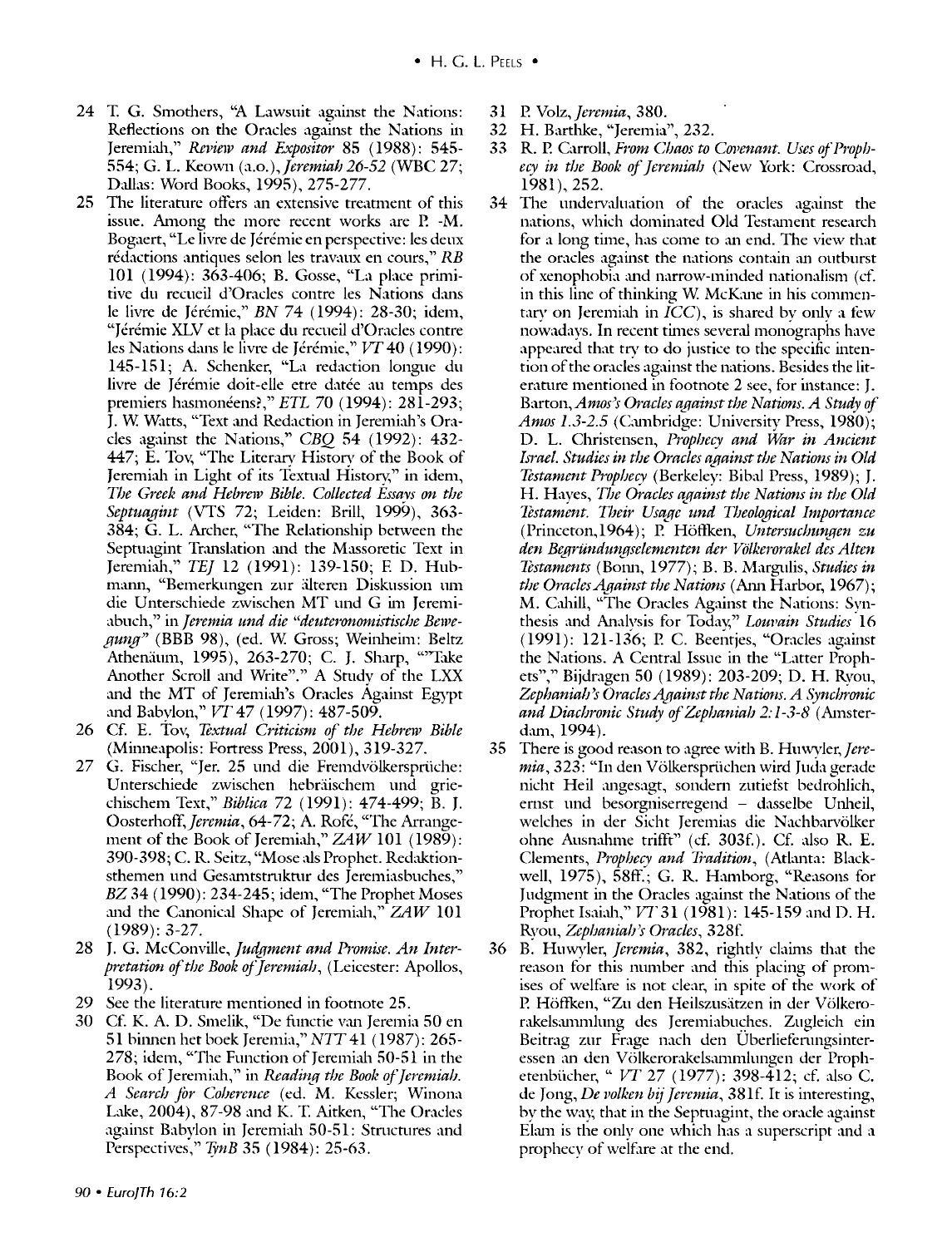- 24 T. G. Smothers, "A Lawsuit against the Nations: Reflections on the Oracles against the Nations in Jeremiah," *Review and Expositor* 85 (1988): 545- 554; G. L. Keown *(a.o.),Jeremiah* 26-52 (WBC 27; Dallas: Word Books, 1995), 275-277.
- 25 The literature offers an extensive treatment of this issue. Among the more recent works are P. -M. Bogaert, "Le livre de Jérémie en perspective: les deux rédactions antiques selon les travaux en cours,"  $RB$ 101 (1994): 363-406; B. Gosse, "La place primitive du recueil d'Oracles contre les Nations dans le livre de Jérémie," *BN 74 (1994)*: 28-30; idem, "Jeremie XLV et la place du recueil d'Oracles contre les Nations dans le livre de Jérémie," VT 40 (1990): 145-151; A. Schenker, "La redaction longue du livre de Jérémie doit-elle etre datée au temps des premiers hasmoneens?," *ETL* 70 (1994): 281-293; J. W. Watts, "Text and Redaction in Jeremiah's Oracles against the Nations," *CBQ* 54 (1992): 432- 447; E. Tov, "The Literarv History of the Book of Jeremiah in Light of its Textual History," in idem, *T/Je Greek and Hebrew Bible. Collected Essavs on the Septuagint* (VTS 72; Leiden: Brill, 1999), 363- 384; G. L. Archer, "The Relationship between the Septuagint Translation and the Massoretic Text in Jeremiah," *TEJ* 12 (1991): 139-150; E D. Hubmann, "Bemerkungen zur älteren Diskussion um die Unterschiede zwischen MT und G im Jeremiabuch," in *Jeremia und die "deuteronomistische Bewegung"* (BBB 98), (ed. W Gross; Weinheim: Beltz Athenäum, 1995), 263-270; C. J. Sharp, "Take Another Scroll and Write"." A Studv of the LXX and the MT of Jeremiah's Oracles Against Egypt and Babylon," *VT* 47 (1997): 487-509.
- 26 Cf. E. Tov, *Textual Criticism of the Hebrew Bible* (Minneapolis: Fortress Press, 2001), 319-327.
- 27 G. Fischer, "Jer. 25 und die Fremdvölkersprüche: Unterschiede zwischen hebräischem und griechischem Text," *Biblica* 72 (1991): 474-499; B. J. *Oosterhotf,]eremia,* 64-72; A. Rofe, "The Arrangement of the Book of Jeremiah," *ZAW* 101 (1989): 390-398; C.R. Seitz, "Mose als Prophet. Redaktionsthemen und Gesamtstruktur des Jeremiasbuches," *BZ* 34 ( 1990): 234-245; idem, "The Prophet Moses and the Canonical Shape of Jeremiah," *ZAW* 101 (1989): 3-27.
- 28 J. G. McConville, *fudgment and Promise. An Interpretation of the Book of Jeremiah,* (Leicester: Apollos, 1993).
- 29 See the literature mentioned in footnote 25.
- 30 Cf. K. A. D. Smelik, "De functie van Jeremia 50 en 51 binnen het boek Jeremia," NTT 41 (1987): 265-278; idem, "The Function of Jeremiah 50-51 in the Book of Jeremiah," in *Reading the Book of Jeremiah. A Search for Co/Jerence* (ed. M. Kessler; Winona Lake, 2004), 87-98 and K. T. Aitken, "The Oracles against Babylon in Jeremiah 50-51: Structures and Perspectives," *TynB* 35 (1984): 25-63.
- 31 P. *Volz,feremia,* 380.
- 32 H. Barthke, "Jeremia", 232.
- 33 R. P. Carroll, *From Chaos to Covenant. Uses of Prophecy in t/Je Book of]eremiah* (New York: Crossroad, 1981), 252.
- 34 The undervaluation of the oracles against the nations, which dominated Old Testament research for a long time, has come to an end. The view that the oracles against the nations contain an outburst of xenophobia and narrow-minded nationalism (cf. in this line of thinking W. McKane in his commentary on Jeremiah in  $ICC$ ), is shared by only a few nowadays. In recent times several monographs have appeared that try to do justice to the specific intention of the oracles against the nations. Besides the literature mentioned in footnote 2 see, for instance: J. *Barton,Amos)s Oracles against the Nations. A Study of Amos* 1.3-2.5 (Cunbridge: University Press, 1980); D. L. Christensen, *Prophecy and War in Ancient Israel. Studies in the Oracles against the Nations in Old Testament Prophecy* (Berkeley: Bibal Press, 1989); J. H. Haves, *The Oracles aqainst the Nations in the Old Testament. Their Usage und Theological Importance* (Princeton,1964); P. Höffken, *Untersuchungen zu den Begrundun.\_11selementen der Volkerorakel des Alten Testaments* (Bonn, 1977); B. B. Margulis, *Studies in the Oracles Against the Nations* (Ann Harbor, 1967); M. Cahill, "The Oracles Against the Nations: Synthesis and Analysis for Today," *Louvain Studies* 16 (1991): 121-136; P. C. Beentjes, "Oracles against the Nations. A Central Issue in the "Latter Prophets"," Bijdragen 50 (1989): 203-209; D. H. Ryon, *Zephaniah 's Oracles Against the Nations. A Synchronic*  and Diachronic Study of Zephaniah 2:1-3-8 (Amsterdam, 1994).
- 35 There is good reason to agree with B. *Huwyler,Jere*mia, 323: "In den Völkersprüchen wird Juda gerade nicht Heil angesagt, sondern zutiefst bedrohlich, ernst und besorgniserregend - dasselbe Unheil, welches in der Sicht Jeremias die Nachbarvölker ohne Ausnahme trifft" (cf. 303f.). Cf. also R. E. Clements, *Prophecy and Tradition,* (Athmta: Blackwell,  $1975$ ),  $58ff$ ; G. R. Hamborg, "Reasons for Judgment in the Oracles against the Nations of the Prophet Isaiah," *VT* 31 (1981): 145-159 and D. H. Ryou, *Zephaniah's Oracles*, 328f.
- 36 B. Huwyler, *Jeremia*, 382, rightly claims that the reason for this number and this placing of promises of welfare is not clear, in spite of the work of P. Höffken, "Zu den Heilszusätzen in der Völkerorakels.unmlung des Jeremiabuches. Zugleich ein Beitrag zur Frage nach den Uberlieferungsinteressen an den Völkerorakelsammlungen der Prophetenbiicher," *VT* 27 (1977): 398-412; cf. also C. de Jong, *De volken bij Jeremia*, 381f. It is interesting, by the way, that in the Septuagint, the oracle against Elam is the only one which has a superscript and a prophecy of welfare at the end.